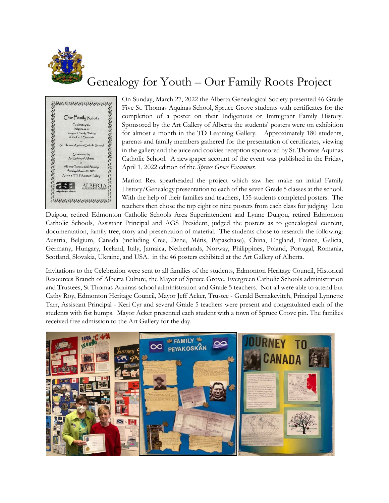

## Genealogy for Youth – Our Family Roots Project



On Sunday, March 27, 2022 the Alberta Genealogical Society presented 46 Grade Five St. Thomas Aquinas School, Spruce Grove students with certificates for the completion of a poster on their Indigenous or Immigrant Family History. Sponsored by the Art Gallery of Alberta the students' posters were on exhibition for almost a month in the TD Learning Gallery. Approximately 180 students, parents and family members gathered for the presentation of certificates, viewing in the gallery and the juice and cookies reception sponsored by St. Thomas Aquinas Catholic School. A newspaper account of the event was published in the Friday, April 1, 2022 edition of the *Spruce Grove Examiner.*

Marion Rex spearheaded the project which saw her make an initial Family History/Genealogy presentation to each of the seven Grade 5 classes at the school. With the help of their families and teachers, 155 students completed posters. The teachers then chose the top eight or nine posters from each class for judging. Lou

Duigou, retired Edmonton Catholic Schools Area Superintendent and Lynne Duigou, retired Edmonton Catholic Schools, Assistant Principal and AGS President, judged the posters as to genealogical content, documentation, family tree, story and presentation of material. The students chose to research the following: Austria, Belgium, Canada (including Cree, Dene, Métis, Papaschase), China, England, France, Galicia, Germany, Hungary, Iceland, Italy, Jamaica, Netherlands, Norway, Philippines, Poland, Portugal, Romania, Scotland, Slovakia, Ukraine, and USA. in the 46 posters exhibited at the Art Gallery of Alberta.

Invitations to the Celebration were sent to all families of the students, Edmonton Heritage Council, Historical Resources Branch of Alberta Culture, the Mayor of Spruce Grove, Evergreen Catholic Schools administration and Trustees, St Thomas Aquinas school administration and Grade 5 teachers. Not all were able to attend but Cathy Roy, Edmonton Heritage Council, Mayor Jeff Acker, Trustee - Gerald Bernakevitch, Principal Lynnette Tarr, Assistant Principal - Keri Cyr and several Grade 5 teachers were present and congratulated each of the students with fist bumps. Mayor Acker presented each student with a town of Spruce Grove pin. The families received free admission to the Art Gallery for the day.